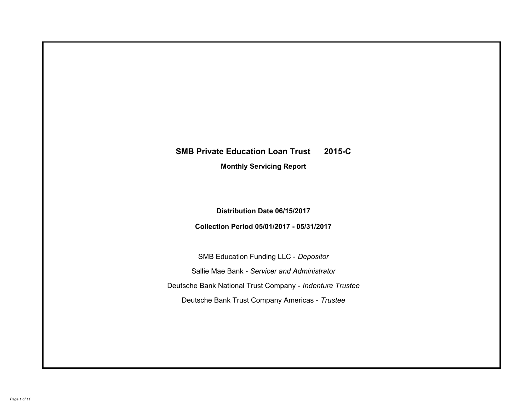# **SMB Private Education Loan Trust 2015-C Monthly Servicing Report**

**Distribution Date 06/15/2017**

**Collection Period 05/01/2017 - 05/31/2017**

SMB Education Funding LLC - *Depositor* Sallie Mae Bank - *Servicer and Administrator* Deutsche Bank National Trust Company - *Indenture Trustee* Deutsche Bank Trust Company Americas - *Trustee*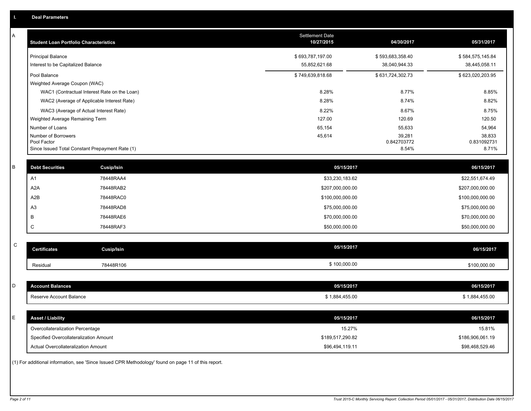| Α           | <b>Student Loan Portfolio Characteristics</b>   |                                                                                                     | <b>Settlement Date</b><br>10/27/2015 | 04/30/2017            | 05/31/2017            |
|-------------|-------------------------------------------------|-----------------------------------------------------------------------------------------------------|--------------------------------------|-----------------------|-----------------------|
|             | <b>Principal Balance</b>                        |                                                                                                     | \$693,787,197.00                     | \$593,683,358.40      | \$584,575,145.84      |
|             | Interest to be Capitalized Balance              |                                                                                                     | 55,852,621.68                        | 38,040,944.33         | 38,445,058.11         |
|             | Pool Balance                                    |                                                                                                     | \$749,639,818.68                     | \$631,724,302.73      | \$623,020,203.95      |
|             | Weighted Average Coupon (WAC)                   |                                                                                                     |                                      |                       |                       |
|             |                                                 | WAC1 (Contractual Interest Rate on the Loan)                                                        | 8.28%                                | 8.77%                 | 8.85%                 |
|             |                                                 | WAC2 (Average of Applicable Interest Rate)                                                          | 8.28%                                | 8.74%                 | 8.82%                 |
|             | WAC3 (Average of Actual Interest Rate)          |                                                                                                     | 8.22%                                | 8.67%                 | 8.75%                 |
|             | Weighted Average Remaining Term                 |                                                                                                     | 127.00                               | 120.69                | 120.50                |
|             | Number of Loans                                 |                                                                                                     | 65,154                               | 55,633                | 54,964                |
|             | Number of Borrowers<br>Pool Factor              |                                                                                                     | 45,614                               | 39,281<br>0.842703772 | 38,833<br>0.831092731 |
|             | Since Issued Total Constant Prepayment Rate (1) |                                                                                                     |                                      | 8.54%                 | 8.71%                 |
|             |                                                 |                                                                                                     |                                      |                       |                       |
| В           | <b>Debt Securities</b>                          | Cusip/Isin                                                                                          | 05/15/2017                           |                       | 06/15/2017            |
|             | A1                                              | 78448RAA4                                                                                           | \$33,230,183.62                      |                       | \$22,551,674.49       |
|             | A <sub>2</sub> A                                | 78448RAB2                                                                                           | \$207,000,000.00                     |                       | \$207,000,000.00      |
|             | A <sub>2</sub> B                                | 78448RAC0                                                                                           | \$100,000,000.00                     |                       | \$100,000,000.00      |
|             | A <sub>3</sub>                                  | 78448RAD8                                                                                           | \$75,000,000.00                      |                       | \$75,000,000.00       |
|             | B                                               | 78448RAE6                                                                                           | \$70,000,000.00                      |                       | \$70,000,000.00       |
|             | C                                               | 78448RAF3                                                                                           | \$50,000,000.00                      |                       | \$50,000,000.00       |
|             |                                                 |                                                                                                     |                                      |                       |                       |
| $\mathbf C$ | <b>Certificates</b>                             | <b>Cusip/Isin</b>                                                                                   | 05/15/2017                           |                       | 06/15/2017            |
|             | Residual                                        | 78448R106                                                                                           | \$100,000.00                         |                       | \$100,000.00          |
|             |                                                 |                                                                                                     |                                      |                       |                       |
| D           | <b>Account Balances</b>                         |                                                                                                     | 05/15/2017                           |                       | 06/15/2017            |
|             | Reserve Account Balance                         |                                                                                                     | \$1,884,455.00                       |                       | \$1,884,455.00        |
|             |                                                 |                                                                                                     |                                      |                       |                       |
| E           | <b>Asset / Liability</b>                        |                                                                                                     | 05/15/2017                           |                       | 06/15/2017            |
|             | Overcollateralization Percentage                |                                                                                                     | 15.27%                               |                       | 15.81%                |
|             | Specified Overcollateralization Amount          |                                                                                                     | \$189,517,290.82                     |                       | \$186,906,061.19      |
|             | Actual Overcollateralization Amount             |                                                                                                     | \$96,494,119.11                      |                       | \$98,468,529.46       |
|             |                                                 | (1) For additional information, see 'Since Issued CPR Methodology' found on page 11 of this report. |                                      |                       |                       |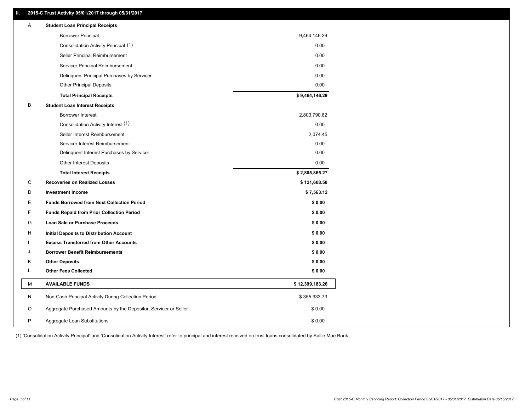# **II. 2015-C Trust Activity 05/01/2017 through 05/31/2017**

| A | <b>Student Loan Principal Receipts</b>                           |                 |  |
|---|------------------------------------------------------------------|-----------------|--|
|   | <b>Borrower Principal</b>                                        | 9,464,146.29    |  |
|   | Consolidation Activity Principal (1)                             | 0.00            |  |
|   | Seller Principal Reimbursement                                   | 0.00            |  |
|   | Servicer Principal Reimbursement                                 | 0.00            |  |
|   | Delinquent Principal Purchases by Servicer                       | 0.00            |  |
|   | <b>Other Principal Deposits</b>                                  | 0.00            |  |
|   | <b>Total Principal Receipts</b>                                  | \$9,464,146.29  |  |
| B | <b>Student Loan Interest Receipts</b>                            |                 |  |
|   | Borrower Interest                                                | 2,803,790.82    |  |
|   | Consolidation Activity Interest (1)                              | 0.00            |  |
|   | Seller Interest Reimbursement                                    | 2,074.45        |  |
|   | Servicer Interest Reimbursement                                  | 0.00            |  |
|   | Delinquent Interest Purchases by Servicer                        | 0.00            |  |
|   | Other Interest Deposits                                          | 0.00            |  |
|   | <b>Total Interest Receipts</b>                                   | \$2,805,865.27  |  |
| C | <b>Recoveries on Realized Losses</b>                             | \$121,608.58    |  |
| D | <b>Investment Income</b>                                         | \$7,563.12      |  |
| E | <b>Funds Borrowed from Next Collection Period</b>                | \$0.00          |  |
| F | <b>Funds Repaid from Prior Collection Period</b>                 | \$0.00          |  |
| G | <b>Loan Sale or Purchase Proceeds</b>                            | \$0.00          |  |
| H | Initial Deposits to Distribution Account                         | \$0.00          |  |
|   | <b>Excess Transferred from Other Accounts</b>                    | \$0.00          |  |
| J | <b>Borrower Benefit Reimbursements</b>                           | \$0.00          |  |
| Κ | <b>Other Deposits</b>                                            | \$0.00          |  |
| L | <b>Other Fees Collected</b>                                      | \$0.00          |  |
| М | <b>AVAILABLE FUNDS</b>                                           | \$12,399,183.26 |  |
| N | Non-Cash Principal Activity During Collection Period             | \$355,933.73    |  |
| O | Aggregate Purchased Amounts by the Depositor, Servicer or Seller | \$0.00          |  |
| Ρ |                                                                  |                 |  |

(1) 'Consolidation Activity Principal' and 'Consolidation Activity Interest' refer to principal and interest received on trust loans consolidated by Sallie Mae Bank.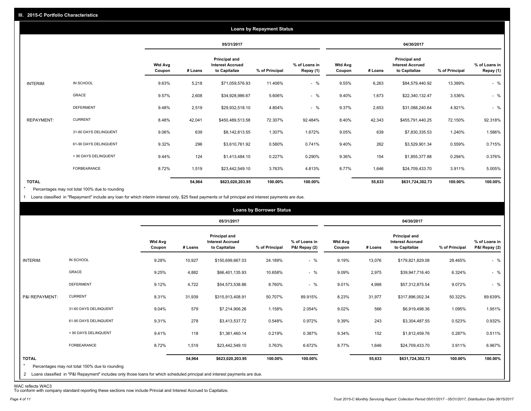|                   |                       |                          |         |                                                           | <b>Loans by Repayment Status</b> |                            |                          |         |                                                                  |                |                            |
|-------------------|-----------------------|--------------------------|---------|-----------------------------------------------------------|----------------------------------|----------------------------|--------------------------|---------|------------------------------------------------------------------|----------------|----------------------------|
|                   |                       |                          |         | 05/31/2017                                                |                                  |                            |                          |         | 04/30/2017                                                       |                |                            |
|                   |                       | <b>Wtd Avg</b><br>Coupon | # Loans | Principal and<br><b>Interest Accrued</b><br>to Capitalize | % of Principal                   | % of Loans in<br>Repay (1) | <b>Wtd Avg</b><br>Coupon | # Loans | <b>Principal and</b><br><b>Interest Accrued</b><br>to Capitalize | % of Principal | % of Loans in<br>Repay (1) |
| INTERIM:          | IN SCHOOL             | 9.63%                    | 5,218   | \$71,059,576.93                                           | 11.406%                          | $-$ %                      | 9.55%                    | 6,263   | \$84,579,440.92                                                  | 13.389%        | $-$ %                      |
|                   | GRACE                 | 9.57%                    | 2,608   | \$34,928,986.67                                           | 5.606%                           | $-$ %                      | 9.40%                    | 1,673   | \$22,340,132.47                                                  | 3.536%         | $-$ %                      |
|                   | <b>DEFERMENT</b>      | 9.48%                    | 2,519   | \$29,932,518.10                                           | 4.804%                           | $-$ %                      | 9.37%                    | 2,653   | \$31,088,240.64                                                  | 4.921%         | $-$ %                      |
| <b>REPAYMENT:</b> | <b>CURRENT</b>        | 8.48%                    | 42,041  | \$450,489,513.58                                          | 72.307%                          | 92.484%                    | 8.40%                    | 42,343  | \$455,791,440.25                                                 | 72.150%        | 92.318%                    |
|                   | 31-60 DAYS DELINQUENT | 9.06%                    | 639     | \$8,142,813.55                                            | 1.307%                           | 1.672%                     | 9.05%                    | 639     | \$7,830,335.53                                                   | 1.240%         | 1.586%                     |
|                   | 61-90 DAYS DELINQUENT | 9.32%                    | 296     | \$3,610,761.92                                            | 0.580%                           | 0.741%                     | 9.40%                    | 262     | \$3,529,901.34                                                   | 0.559%         | 0.715%                     |
|                   | > 90 DAYS DELINQUENT  | 9.44%                    | 124     | \$1,413,484.10                                            | 0.227%                           | 0.290%                     | 9.36%                    | 154     | \$1,855,377.88                                                   | 0.294%         | 0.376%                     |
|                   | <b>FORBEARANCE</b>    | 8.72%                    | 1,519   | \$23,442,549.10                                           | 3.763%                           | 4.813%                     | 8.77%                    | 1,646   | \$24,709,433.70                                                  | 3.911%         | 5.005%                     |
| <b>TOTAL</b>      |                       |                          | 54,964  | \$623,020,203.95                                          | 100.00%                          | 100.00%                    |                          | 55,633  | \$631,724,302.73                                                 | 100.00%        | 100.00%                    |

Percentages may not total 100% due to rounding  $\star$ 

1 Loans classified in "Repayment" include any loan for which interim interest only, \$25 fixed payments or full principal and interest payments are due.

|                         |                                                                                                                              |                          |         |                                                           | <b>Loans by Borrower Status</b> |                                |                          |         |                                                           |                |                                |
|-------------------------|------------------------------------------------------------------------------------------------------------------------------|--------------------------|---------|-----------------------------------------------------------|---------------------------------|--------------------------------|--------------------------|---------|-----------------------------------------------------------|----------------|--------------------------------|
|                         |                                                                                                                              |                          |         | 05/31/2017                                                |                                 |                                |                          |         | 04/30/2017                                                |                |                                |
|                         |                                                                                                                              | <b>Wtd Avg</b><br>Coupon | # Loans | Principal and<br><b>Interest Accrued</b><br>to Capitalize | % of Principal                  | % of Loans in<br>P&I Repay (2) | <b>Wtd Avg</b><br>Coupon | # Loans | Principal and<br><b>Interest Accrued</b><br>to Capitalize | % of Principal | % of Loans in<br>P&I Repay (2) |
| INTERIM:                | IN SCHOOL                                                                                                                    | 9.28%                    | 10,927  | \$150,699,667.03                                          | 24.189%                         | $-$ %                          | 9.19%                    | 13,076  | \$179,821,829.08                                          | 28.465%        | $-$ %                          |
|                         | <b>GRACE</b>                                                                                                                 | 9.25%                    | 4,882   | \$66,401,135.93                                           | 10.658%                         | $-$ %                          | 9.09%                    | 2,975   | \$39,947,716.40                                           | 6.324%         | $-$ %                          |
|                         | <b>DEFERMENT</b>                                                                                                             | 9.12%                    | 4,722   | \$54,573,538.86                                           | 8.760%                          | $-$ %                          | 9.01%                    | 4,998   | \$57,312,875.54                                           | 9.072%         | $-$ %                          |
| P&I REPAYMENT:          | <b>CURRENT</b>                                                                                                               | 8.31%                    | 31,939  | \$315,913,408.91                                          | 50.707%                         | 89.915%                        | 8.23%                    | 31,977  | \$317,896,002.34                                          | 50.322%        | 89.639%                        |
|                         | 31-60 DAYS DELINQUENT                                                                                                        | 9.04%                    | 579     | \$7,214,906.26                                            | 1.158%                          | 2.054%                         | 9.02%                    | 566     | \$6,919,498.36                                            | 1.095%         | 1.951%                         |
|                         | 61-90 DAYS DELINQUENT                                                                                                        | 9.31%                    | 278     | \$3,413,537.72                                            | 0.548%                          | 0.972%                         | 9.39%                    | 243     | \$3,304,487.55                                            | 0.523%         | 0.932%                         |
|                         | > 90 DAYS DELINQUENT                                                                                                         | 9.41%                    | 118     | \$1,361,460.14                                            | 0.219%                          | 0.387%                         | 9.34%                    | 152     | \$1,812,459.76                                            | 0.287%         | 0.511%                         |
|                         | <b>FORBEARANCE</b>                                                                                                           | 8.72%                    | 1,519   | \$23,442,549.10                                           | 3.763%                          | 6.672%                         | 8.77%                    | 1,646   | \$24,709,433.70                                           | 3.911%         | 6.967%                         |
| <b>TOTAL</b><br>$\star$ | Percentages may not total 100% due to rounding                                                                               |                          | 54,964  | \$623,020,203.95                                          | 100.00%                         | 100.00%                        |                          | 55,633  | \$631,724,302.73                                          | 100.00%        | 100.00%                        |
|                         | 2 Loans classified in "P&I Repayment" includes only those loans for which scheduled principal and interest payments are due. |                          |         |                                                           |                                 |                                |                          |         |                                                           |                |                                |

WAC reflects WAC3 To conform with company standard reporting these sections now include Princial and Interest Accrued to Capitalize.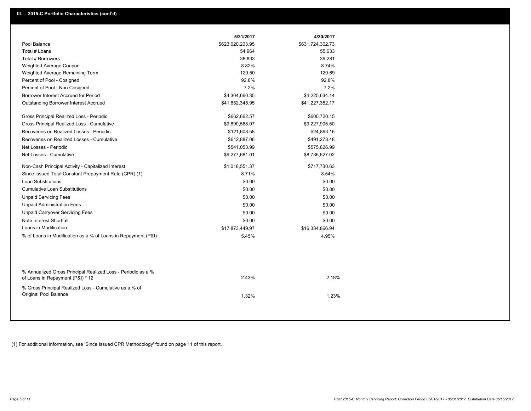|                                                                                                  | 5/31/2017        | 4/30/2017        |
|--------------------------------------------------------------------------------------------------|------------------|------------------|
| Pool Balance                                                                                     | \$623,020,203.95 | \$631,724,302.73 |
| Total # Loans                                                                                    | 54,964           | 55,633           |
| Total # Borrowers                                                                                | 38,833           | 39,281           |
| Weighted Average Coupon                                                                          | 8.82%            | 8.74%            |
| Weighted Average Remaining Term                                                                  | 120.50           | 120.69           |
| Percent of Pool - Cosigned                                                                       | 92.8%            | 92.8%            |
| Percent of Pool - Non Cosigned                                                                   | 7.2%             | 7.2%             |
| Borrower Interest Accrued for Period                                                             | \$4,304,660.35   | \$4,225,634.14   |
| Outstanding Borrower Interest Accrued                                                            | \$41,652,345.95  | \$41,227,352.17  |
| Gross Principal Realized Loss - Periodic                                                         | \$662,662.57     | \$600,720.15     |
| Gross Principal Realized Loss - Cumulative                                                       | \$9,890,568.07   | \$9,227,905.50   |
| Recoveries on Realized Losses - Periodic                                                         | \$121,608.58     | \$24,893.16      |
| Recoveries on Realized Losses - Cumulative                                                       | \$612,887.06     | \$491,278.48     |
| Net Losses - Periodic                                                                            | \$541,053.99     | \$575,826.99     |
| Net Losses - Cumulative                                                                          | \$9,277,681.01   | \$8,736,627.02   |
| Non-Cash Principal Activity - Capitalized Interest                                               | \$1,018,551.37   | \$717,730.63     |
| Since Issued Total Constant Prepayment Rate (CPR) (1)                                            | 8.71%            | 8.54%            |
| Loan Substitutions                                                                               | \$0.00           | \$0.00           |
| <b>Cumulative Loan Substitutions</b>                                                             | \$0.00           | \$0.00           |
| <b>Unpaid Servicing Fees</b>                                                                     | \$0.00           | \$0.00           |
| <b>Unpaid Administration Fees</b>                                                                | \$0.00           | \$0.00           |
| <b>Unpaid Carryover Servicing Fees</b>                                                           | \$0.00           | \$0.00           |
| Note Interest Shortfall                                                                          | \$0.00           | \$0.00           |
| Loans in Modification                                                                            | \$17,873,449.97  | \$16,334,866.94  |
| % of Loans in Modification as a % of Loans in Repayment (P&I)                                    | 5.45%            | 4.95%            |
|                                                                                                  |                  |                  |
| % Annualized Gross Principal Realized Loss - Periodic as a %<br>of Loans in Repayment (P&I) * 12 | 2.43%            | 2.18%            |
| % Gross Principal Realized Loss - Cumulative as a % of<br>Original Pool Balance                  | 1.32%            | 1.23%            |

(1) For additional information, see 'Since Issued CPR Methodology' found on page 11 of this report.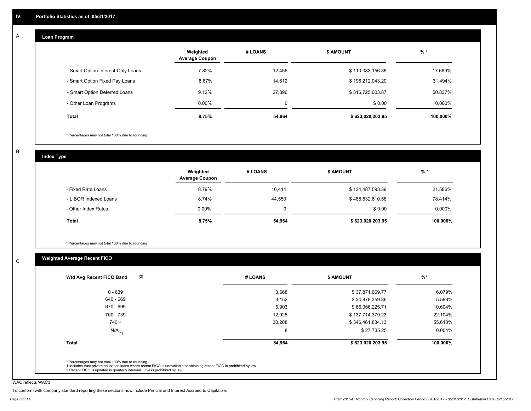#### **Loan Program**  A

|                                    | Weighted<br><b>Average Coupon</b> | # LOANS | <b>\$ AMOUNT</b> | $%$ *     |
|------------------------------------|-----------------------------------|---------|------------------|-----------|
| - Smart Option Interest-Only Loans | 7.82%                             | 12.456  | \$110,083,156.88 | 17.669%   |
| - Smart Option Fixed Pay Loans     | 8.67%                             | 14,612  | \$196,212,043.20 | 31.494%   |
| - Smart Option Deferred Loans      | 9.12%                             | 27.896  | \$316,725,003.87 | 50.837%   |
| - Other Loan Programs              | $0.00\%$                          | 0       | \$0.00           | $0.000\%$ |
| <b>Total</b>                       | 8.75%                             | 54,964  | \$623,020,203.95 | 100.000%  |

\* Percentages may not total 100% due to rounding

B

C

**Index Type**

|                       | Weighted<br><b>Average Coupon</b> | # LOANS | <b>\$ AMOUNT</b> | % *       |
|-----------------------|-----------------------------------|---------|------------------|-----------|
| - Fixed Rate Loans    | 8.79%                             | 10,414  | \$134,487,593.39 | 21.586%   |
| - LIBOR Indexed Loans | 8.74%                             | 44,550  | \$488,532,610.56 | 78.414%   |
| - Other Index Rates   | $0.00\%$                          | 0       | \$0.00           | $0.000\%$ |
| Total                 | 8.75%                             | 54,964  | \$623,020,203.95 | 100.000%  |

\* Percentages may not total 100% due to rounding

# **Weighted Average Recent FICO**

| (2)<br>Wtd Avg Recent FICO Band | # LOANS | <b>S AMOUNT</b>  | $%$ *     |
|---------------------------------|---------|------------------|-----------|
| $0 - 639$                       | 3,668   | \$37,871,669.77  | 6.079%    |
| 640 - 669                       | 3,152   | \$34,878,359.86  | 5.598%    |
| 670 - 699                       | 5,903   | \$66,066,225.71  | 10.604%   |
| 700 - 739                       | 12,025  | \$137,714,379.23 | 22.104%   |
| $740 +$                         | 30,208  | \$346,461,834.13 | 55.610%   |
| $N/A$ <sub>(1)</sub>            | 8       | \$27,735.25      | $0.004\%$ |
| <b>Total</b>                    | 54,964  | \$623,020,203.95 | 100.000%  |

WAC reflects WAC3

To conform with company standard reporting these sections now include Princial and Interest Accrued to Capitalize.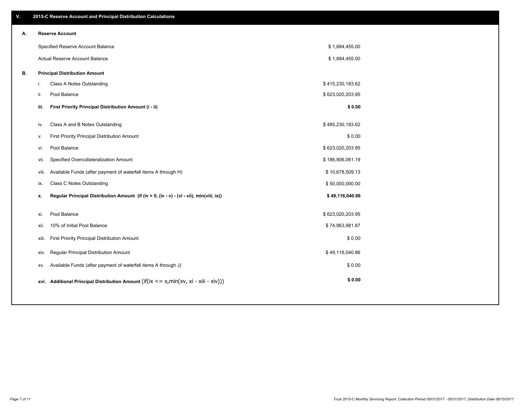| ۷. |       | 2015-C Reserve Account and Principal Distribution Calculations                                      |                  |  |
|----|-------|-----------------------------------------------------------------------------------------------------|------------------|--|
| А. |       | <b>Reserve Account</b>                                                                              |                  |  |
|    |       | Specified Reserve Account Balance                                                                   | \$1,884,455.00   |  |
|    |       | Actual Reserve Account Balance                                                                      | \$1,884,455.00   |  |
| В. |       | <b>Principal Distribution Amount</b>                                                                |                  |  |
|    | i.    | Class A Notes Outstanding                                                                           | \$415,230,183.62 |  |
|    | ii.   | Pool Balance                                                                                        | \$623,020,203.95 |  |
|    | iii.  | First Priority Principal Distribution Amount (i - ii)                                               | \$0.00           |  |
|    |       |                                                                                                     |                  |  |
|    | iv.   | Class A and B Notes Outstanding                                                                     | \$485,230,183.62 |  |
|    | v.    | First Priority Principal Distribution Amount                                                        | \$0.00           |  |
|    | vi.   | Pool Balance                                                                                        | \$623,020,203.95 |  |
|    | vii.  | Specified Overcollateralization Amount                                                              | \$186,906,061.19 |  |
|    | viii. | Available Funds (after payment of waterfall items A through H)                                      | \$10,678,509.13  |  |
|    | ix.   | <b>Class C Notes Outstanding</b>                                                                    | \$50,000,000.00  |  |
|    | x.    | Regular Principal Distribution Amount (if (iv > 0, (iv - v) - (vi - vii), min(viii, ix))            | \$49,116,040.86  |  |
|    |       |                                                                                                     |                  |  |
|    | xi.   | Pool Balance                                                                                        | \$623,020,203.95 |  |
|    | xii.  | 10% of Initial Pool Balance                                                                         | \$74,963,981.87  |  |
|    | xiii. | First Priority Principal Distribution Amount                                                        | \$0.00           |  |
|    | XIV.  | Regular Principal Distribution Amount                                                               | \$49,116,040.86  |  |
|    | XV.   | Available Funds (after payment of waterfall items A through J)                                      | \$0.00           |  |
|    |       | xvi. Additional Principal Distribution Amount (if( $ix \le x$ , min( $xv$ , $xi$ - $xiii - xiv$ ))) | \$0.00           |  |
|    |       |                                                                                                     |                  |  |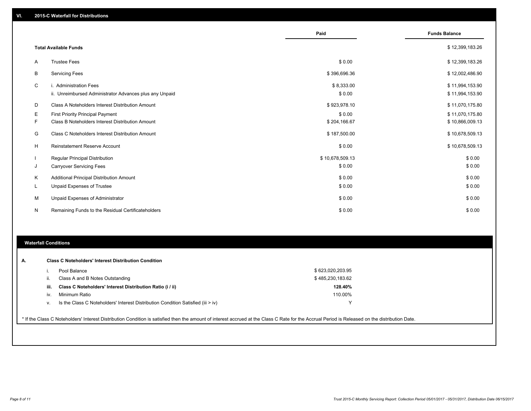|    |                                                                                   | Paid                 | <b>Funds Balance</b>               |
|----|-----------------------------------------------------------------------------------|----------------------|------------------------------------|
|    | <b>Total Available Funds</b>                                                      |                      | \$12,399,183.26                    |
| A  | <b>Trustee Fees</b>                                                               | \$0.00               | \$12,399,183.26                    |
| B  | <b>Servicing Fees</b>                                                             | \$396,696.36         | \$12,002,486.90                    |
| C  | i. Administration Fees<br>ii. Unreimbursed Administrator Advances plus any Unpaid | \$8,333.00<br>\$0.00 | \$11,994,153.90<br>\$11,994,153.90 |
| D  | Class A Noteholders Interest Distribution Amount                                  | \$923,978.10         | \$11,070,175.80                    |
| Е  | <b>First Priority Principal Payment</b>                                           | \$0.00               | \$11,070,175.80                    |
| F  | Class B Noteholders Interest Distribution Amount                                  | \$204,166.67         | \$10,866,009.13                    |
| G  | Class C Noteholders Interest Distribution Amount                                  | \$187,500.00         | \$10,678,509.13                    |
| н  | <b>Reinstatement Reserve Account</b>                                              | \$0.00               | \$10,678,509.13                    |
|    | <b>Regular Principal Distribution</b>                                             | \$10,678,509.13      | \$0.00                             |
| J  | <b>Carryover Servicing Fees</b>                                                   | \$0.00               | \$0.00                             |
| K  | Additional Principal Distribution Amount                                          | \$0.00               | \$0.00                             |
| ч. | <b>Unpaid Expenses of Trustee</b>                                                 | \$0.00               | \$0.00                             |
| М  | Unpaid Expenses of Administrator                                                  | \$0.00               | \$0.00                             |
| N  | Remaining Funds to the Residual Certificateholders                                | \$0.00               | \$0.00                             |

# **Waterfall Conditions**

|      | Pool Balance                                                                       | \$623,020,203.95 |  |
|------|------------------------------------------------------------------------------------|------------------|--|
| н.   | Class A and B Notes Outstanding                                                    | \$485,230,183.62 |  |
| iii. | Class C Noteholders' Interest Distribution Ratio (i / ii)                          | 128.40%          |  |
| iv.  | Minimum Ratio                                                                      | 110.00%          |  |
| ν.   | Is the Class C Noteholders' Interest Distribution Condition Satisfied (iii $>$ iv) |                  |  |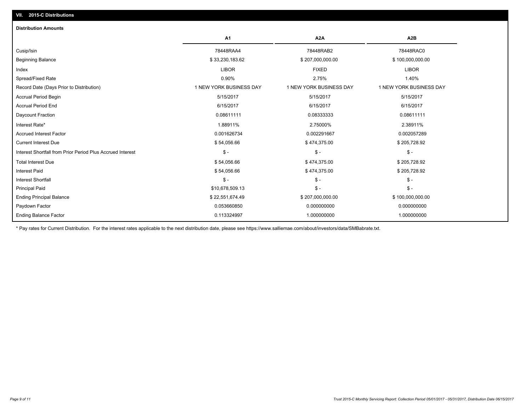| A <sub>1</sub>          | A2A                     | A2B                     |
|-------------------------|-------------------------|-------------------------|
| 78448RAA4               | 78448RAB2               | 78448RAC0               |
| \$33,230,183.62         | \$207,000,000.00        | \$100,000,000.00        |
| <b>LIBOR</b>            | <b>FIXED</b>            | <b>LIBOR</b>            |
| 0.90%                   | 2.75%                   | 1.40%                   |
| 1 NEW YORK BUSINESS DAY | 1 NEW YORK BUSINESS DAY | 1 NEW YORK BUSINESS DAY |
| 5/15/2017               | 5/15/2017               | 5/15/2017               |
| 6/15/2017               | 6/15/2017               | 6/15/2017               |
| 0.08611111              | 0.08333333              | 0.08611111              |
| 1.88911%                | 2.75000%                | 2.38911%                |
| 0.001626734             | 0.002291667             | 0.002057289             |
| \$54,056.66             | \$474,375.00            | \$205,728.92            |
| $\mathsf{\$}$ -         | $\mathcal{S}$ -         | $\mathsf{\$}$ -         |
| \$54,056.66             | \$474,375.00            | \$205,728.92            |
| \$54,056.66             | \$474,375.00            | \$205,728.92            |
| $\mathsf{\$}$ -         | $$ -$                   | $\mathsf{\$}$ -         |
| \$10,678,509.13         | $\frac{2}{3}$ -         | $S -$                   |
| \$22,551,674.49         | \$207,000,000.00        | \$100,000,000.00        |
| 0.053660850             | 0.000000000             | 0.000000000             |
| 0.113324997             | 1.000000000             | 1.000000000             |
|                         |                         |                         |

\* Pay rates for Current Distribution. For the interest rates applicable to the next distribution date, please see https://www.salliemae.com/about/investors/data/SMBabrate.txt.

**VII. 2015-C Distributions**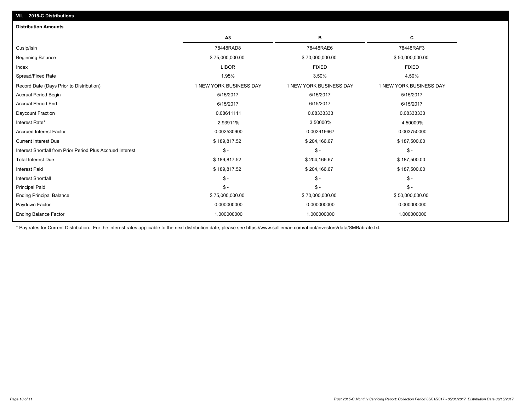|                                                            | A <sub>3</sub>          | в                       | С                       |
|------------------------------------------------------------|-------------------------|-------------------------|-------------------------|
| Cusip/Isin                                                 | 78448RAD8               | 78448RAE6               | 78448RAF3               |
| <b>Beginning Balance</b>                                   | \$75,000,000.00         | \$70,000,000.00         | \$50,000,000.00         |
| Index                                                      | <b>LIBOR</b>            | <b>FIXED</b>            | <b>FIXED</b>            |
| Spread/Fixed Rate                                          | 1.95%                   | 3.50%                   | 4.50%                   |
| Record Date (Days Prior to Distribution)                   | 1 NEW YORK BUSINESS DAY | 1 NEW YORK BUSINESS DAY | 1 NEW YORK BUSINESS DAY |
| <b>Accrual Period Begin</b>                                | 5/15/2017               | 5/15/2017               | 5/15/2017               |
| <b>Accrual Period End</b>                                  | 6/15/2017               | 6/15/2017               | 6/15/2017               |
| Daycount Fraction                                          | 0.08611111              | 0.08333333              | 0.08333333              |
| Interest Rate*                                             | 2.93911%                | 3.50000%                | 4.50000%                |
| <b>Accrued Interest Factor</b>                             | 0.002530900             | 0.002916667             | 0.003750000             |
| <b>Current Interest Due</b>                                | \$189,817.52            | \$204,166.67            | \$187,500.00            |
| Interest Shortfall from Prior Period Plus Accrued Interest | $\mathsf{\$}$ -         | $\mathsf{\$}$ -         | $\mathsf{\$}$ -         |
| <b>Total Interest Due</b>                                  | \$189,817.52            | \$204,166.67            | \$187,500.00            |
| <b>Interest Paid</b>                                       | \$189,817.52            | \$204,166.67            | \$187,500.00            |
| <b>Interest Shortfall</b>                                  | $\mathsf{\$}$ -         | $S -$                   | $\mathsf{\$}$ -         |
| <b>Principal Paid</b>                                      | $\mathsf{\$}$ -         | $S -$                   | $\mathsf{\$}$ -         |
| <b>Ending Principal Balance</b>                            | \$75,000,000.00         | \$70,000,000.00         | \$50,000,000.00         |
| Paydown Factor                                             | 0.000000000             | 0.000000000             | 0.000000000             |
| <b>Ending Balance Factor</b>                               | 1.000000000             | 1.000000000             | 1.000000000             |

\* Pay rates for Current Distribution. For the interest rates applicable to the next distribution date, please see https://www.salliemae.com/about/investors/data/SMBabrate.txt.

**VII. 2015-C Distributions**